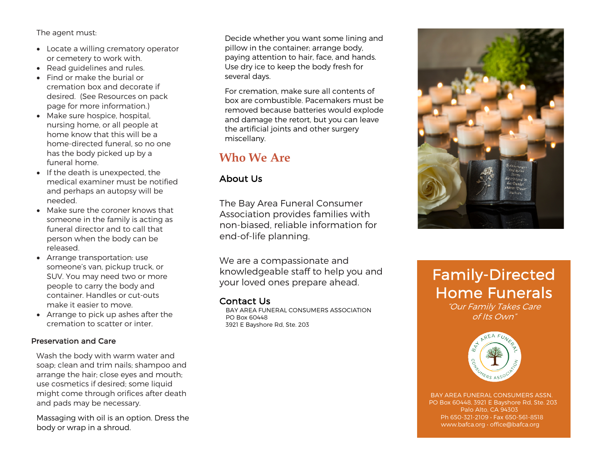The agent must:

- Locate a willing crematory operator or cemetery to work with.
- Read guidelines and rules.
- Find or make the burial or cremation box and decorate if desired. (See Resources on pack page for more information.)
- Make sure hospice, hospital, nursing home, or all people at home know that this will be a home-directed funeral, so no one has the body picked up by a funeral home.
- If the death is unexpected, the medical examiner must be notified and perhaps an autopsy will be needed.
- Make sure the coroner knows that someone in the family is acting as funeral director and to call that person when the body can be released.
- Arrange transportation: use someone's van, pickup truck, or SUV. You may need two or more people to carry the body and container. Handles or cut-outs make it easier to move.
- Arrange to pick up ashes after the cremation to scatter or inter.

### Preservation and Care

Wash the body with warm water and soap; clean and trim nails; shampoo and arrange the hair; close eyes and mouth; use cosmetics if desired; some liquid might come through orifices after death and pads may be necessary.

Massaging with oil is an option. Dress the body or wrap in a shroud.

Decide whether you want some lining and pillow in the container; arrange body, paying attention to hair, face, and hands. Use dry ice to keep the body fresh for several days.

For cremation, make sure all contents of box are combustible. Pacemakers must be removed because batteries would explode and damage the retort, but you can leave the artificial joints and other surgery miscellany.

# **Who We Are**

## About Us

The Bay Area Funeral Consumer Association provides families with non-biased, reliable information for end-of-life planning.

We are a compassionate and knowledgeable staff to help you and your loved ones prepare ahead.

Contact Us<br>BAY AREA FUNERAL CONSUMERS ASSOCIATION PO Box 60448 3921 E Bayshore Rd, Ste. 203



# Family-Directed Home Funerals

"Our Family Takes Care of Its Own"



 BAY AREA FUNERAL CONSUMERS ASSN. PO Box 60448, 3921 E Bayshore Rd, Ste. 203 Palo Alto, CA 94303 Ph 650-321-2109 • Fax 650-561-8518 www.bafca.org • office@bafca.org